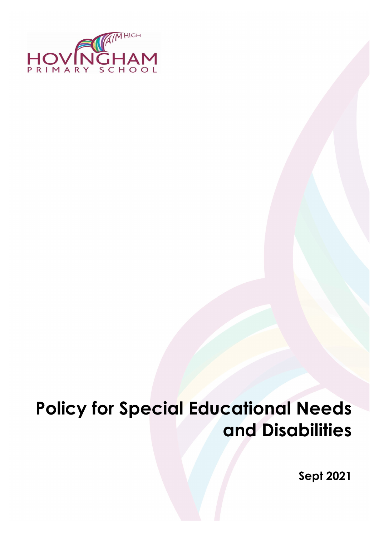

# **Policy for Special Educational Needs and Disabilities**

**Sept 2021**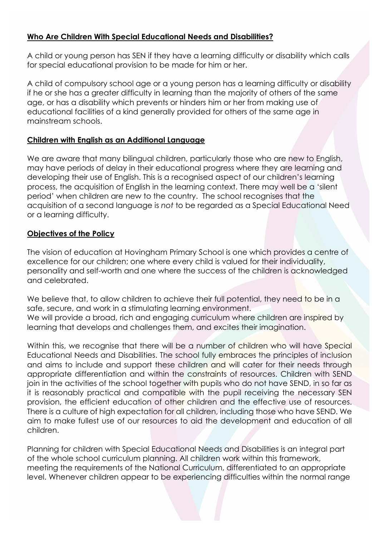#### **Who Are Children With Special Educational Needs and Disabilities?**

A child or young person has SEN if they have a learning difficulty or disability which calls for special educational provision to be made for him or her.

A child of compulsory school age or a young person has a learning difficulty or disability if he or she has a greater difficulty in learning than the majority of others of the same age, or has a disability which prevents or hinders him or her from making use of educational facilities of a kind generally provided for others of the same age in mainstream schools.

#### **Children with English as an Additional Language**

We are aware that many bilingual children, particularly those who are new to English, may have periods of delay in their educational progress where they are learning and developing their use of English. This is a recognised aspect of our children's learning process, the acquisition of English in the learning context. There may well be a 'silent period' when children are new to the country. The school recognises that the acquisition of a second language is *not* to be regarded as a Special Educational Need or a learning difficulty.

#### **Objectives of the Policy**

The vision of education at Hovingham Primary School is one which provides a centre of excellence for our children; one where every child is valued for their individuality, personality and self-worth and one where the success of the children is acknowledged and celebrated.

We believe that, to allow children to achieve their full potential, they need to be in a safe, secure, and work in a stimulating learning environment. We will provide a broad, rich and engaging curriculum where children are inspired by learning that develops and challenges them, and excites their imagination.

Within this, we recognise that there will be a number of children who will have Special Educational Needs and Disabilities. The school fully embraces the principles of inclusion and aims to include and support these children and will cater for their needs through appropriate differentiation and within the constraints of resources. Children with SEND join in the activities of the school together with pupils who do not have SEND, in so far as it is reasonably practical and compatible with the pupil receiving the necessary SEN provision, the efficient education of other children and the effective use of resources. There is a culture of high expectation for all children, including those who have SEND. We aim to make fullest use of our resources to aid the development and education of all children.

Planning for children with Special Educational Needs and Disabilities is an integral part of the whole school curriculum planning. All children work within this framework, meeting the requirements of the National Curriculum, differentiated to an appropriate level. Whenever children appear to be experiencing difficulties within the normal range

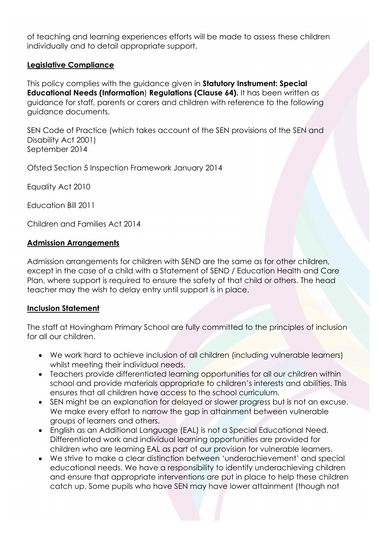of teaching and learning experiences efforts will be made to assess these children individually and to detail appropriate support.

#### **Legislative Compliance**

This policy complies with the guidance given in **Statutory Instrument: Special Educational Needs (Information**) **Regulations (Clause 64).** It has been written as guidance for staff, parents or carers and children with reference to the following guidance documents.

SEN Code of Practice (which takes account of the SEN provisions of the SEN and Disability Act 2001) September 2014

Ofsted Section 5 Inspection Framework January 2014

Equality Act 2010

Education Bill 2011

Children and Families Act 2014

#### **Admission Arrangements**

Admission arrangements for children with SEND are the same as for other children, except in the case of a child with a Statement of SEND / Education Health and Care Plan, where support is required to ensure the safety of that child or others. The head teacher may the wish to delay entry until support is in place.

#### **Inclusion Statement**

The staff at Hovingham Primary School are fully committed to the principles of inclusion for all our children.

- We work hard to achieve inclusion of all children (including vulnerable learners) whilst meeting their individual needs.
- Teachers provide differentiated learning opportunities for all our children within school and provide materials appropriate to children's interests and abilities. This ensures that all children have access to the school curriculum.
- SEN might be an explanation for delayed or slower progress but is not an excuse. We make every effort to narrow the gap in attainment between vulnerable groups of learners and others.
- English as an Additional Language (EAL) is not a Special Educational Need. Differentiated work and individual learning opportunities are provided for children who are learning EAL as part of our provision for vulnerable learners.
- We strive to make a clear distinction between 'underachievement' and special educational needs. We have a responsibility to identify underachieving children and ensure that appropriate interventions are put in place to help these children catch up. Some pupils who have SEN may have lower attainment (though not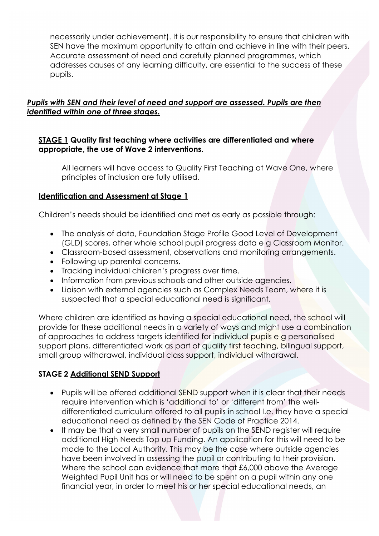necessarily under achievement). It is our responsibility to ensure that children with SEN have the maximum opportunity to attain and achieve in line with their peers. Accurate assessment of need and carefully planned programmes, which addresses causes of any learning difficulty, are essential to the success of these pupils.

## *Pupils with SEN and their level of need and support are assessed. Pupils are then identified within one of three stages.*

#### **STAGE 1 Quality first teaching where activities are differentiated and where appropriate, the use of Wave 2 interventions.**

All learners will have access to Quality First Teaching at Wave One, where principles of inclusion are fully utilised.

#### **Identification and Assessment at Stage 1**

Children's needs should be identified and met as early as possible through:

- The analysis of data, Foundation Stage Profile Good Level of Development (GLD) scores, other whole school pupil progress data e g Classroom Monitor.
- Classroom-based assessment, observations and monitoring arrangements.
- Following up parental concerns.
- Tracking individual children's progress over time.
- Information from previous schools and other outside agencies.
- Liaison with external agencies such as Complex Needs Team, where it is suspected that a special educational need is significant.

Where children are identified as having a special educational need, the school will provide for these additional needs in a variety of ways and might use a combination of approaches to address targets identified for individual pupils e g personalised support plans, differentiated work as part of quality first teaching, bilingual support, small group withdrawal, individual class support, individual withdrawal.

## **STAGE 2 Additional SEND Support**

- Pupils will be offered additional SEND support when it is clear that their needs require intervention which is 'additional to' or 'different from' the welldifferentiated curriculum offered to all pupils in school I.e. they have a special educational need as defined by the SEN Code of Practice 2014.
- It may be that a very small number of pupils on the SEND register will require additional High Needs Top up Funding. An application for this will need to be made to the Local Authority. This may be the case where outside agencies have been involved in assessing the pupil or contributing to their provision. Where the school can evidence that more that £6,000 above the Average Weighted Pupil Unit has or will need to be spent on a pupil within any one financial year, in order to meet his or her special educational needs, an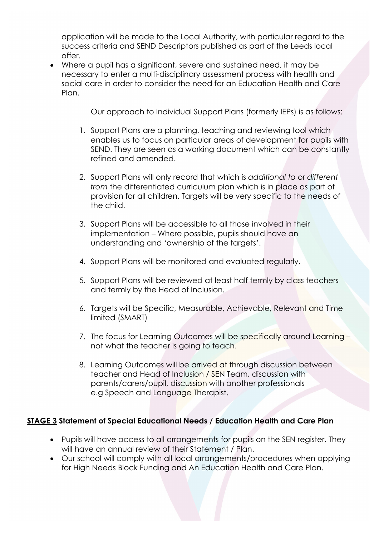application will be made to the Local Authority, with particular regard to the success criteria and SEND Descriptors published as part of the Leeds local offer.

• Where a pupil has a significant, severe and sustained need, it may be necessary to enter a multi-disciplinary assessment process with health and social care in order to consider the need for an Education Health and Care Plan.

Our approach to Individual Support Plans (formerly IEPs) is as follows:

- 1. Support Plans are a planning, teaching and reviewing tool which enables us to focus on particular areas of development for pupils with SEND. They are seen as a working document which can be constantly refined and amended.
- 2. Support Plans will only record that which is *additional to* or *different from* the differentiated curriculum plan which is in place as part of provision for all children. Targets will be very specific to the needs of the child.
- 3. Support Plans will be accessible to all those involved in their implementation – Where possible, pupils should have an understanding and 'ownership of the targets'.
- 4. Support Plans will be monitored and evaluated regularly.
- 5. Support Plans will be reviewed at least half termly by class teachers and termly by the Head of Inclusion.
- 6. Targets will be Specific, Measurable, Achievable, Relevant and Time limited (SMART)
- 7. The focus for Learning Outcomes will be specifically around Learning not what the teacher is going to teach.
- 8. Learning Outcomes will be arrived at through discussion between teacher and Head of Inclusion / SEN Team, discussion with parents/carers/pupil, discussion with another professionals e.g Speech and Language Therapist.

## **STAGE 3 Statement of Special Educational Needs / Education Health and Care Plan**

- Pupils will have access to all arrangements for pupils on the SEN register. They will have an annual review of their Statement / Plan.
- Our school will comply with all local arrangements/procedures when applying for High Needs Block Funding and An Education Health and Care Plan.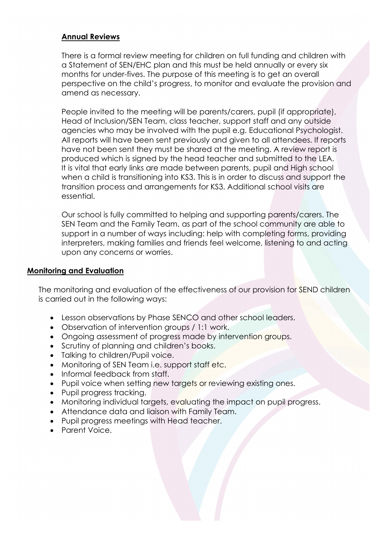#### **Annual Reviews**

There is a formal review meeting for children on full funding and children with a Statement of SEN/EHC plan and this must be held annually or every six months for under-fives. The purpose of this meeting is to get an overall perspective on the child's progress, to monitor and evaluate the provision and amend as necessary.

People invited to the meeting will be parents/carers, pupil (if appropriate), Head of Inclusion/SEN Team, class teacher, support staff and any outside agencies who may be involved with the pupil e.g. Educational Psychologist. All reports will have been sent previously and given to all attendees. If reports have not been sent they must be shared at the meeting. A review report is produced which is signed by the head teacher and submitted to the LEA. It is vital that early links are made between parents, pupil and High school when a child is transitioning into KS3. This is in order to discuss and support the transition process and arrangements for KS3. Additional school visits are essential.

Our school is fully committed to helping and supporting parents/carers. The SEN Team and the Family Team, as part of the school community are able to support in a number of ways including: help with completing forms, providing interpreters, making families and friends feel welcome, listening to and acting upon any concerns or worries.

#### **Monitoring and Evaluation**

The monitoring and evaluation of the effectiveness of our provision for SEND children is carried out in the following ways:

- Lesson observations by Phase SENCO and other school leaders.
- Observation of intervention groups / 1:1 work.
- Ongoing assessment of progress made by intervention groups.
- Scrutiny of planning and children's books.
- Talking to children/Pupil voice.
- Monitoring of SEN Team i.e. support staff etc.
- Informal feedback from staff.
- Pupil voice when setting new targets or reviewing existing ones.
- Pupil progress tracking.
- Monitoring individual targets, evaluating the impact on pupil progress.
- Attendance data and liaison with Family Team.
- Pupil progress meetings with Head teacher.
- Parent Voice.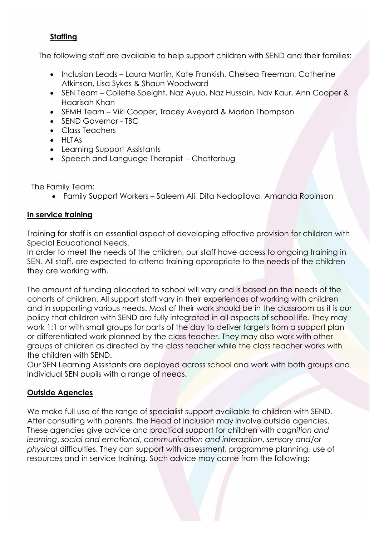# **Staffing**

The following staff are available to help support children with SEND and their families:

- Inclusion Leads Laura Martin, Kate Frankish, Chelsea Freeman, Catherine Atkinson, Lisa Sykes & Shaun Woodward
- SEN Team Collette Speight, Naz Ayub, Naz Hussain, Nav Kaur, Ann Cooper & Haarisah Khan
- SEMH Team Viki Cooper, Tracey Aveyard & Marlon Thompson
- SEND Governor TBC
- Class Teachers
- HLTAs
- Learning Support Assistants
- Speech and Language Therapist Chatterbug

The Family Team:

• Family Support Workers – Saleem Ali, Dita Nedopilova, Amanda Robinson

# **In service training**

Training for staff is an essential aspect of developing effective provision for children with Special Educational Needs.

In order to meet the needs of the children, our staff have access to ongoing training in SEN. All staff, are expected to attend training appropriate to the needs of the children they are working with.

The amount of funding allocated to school will vary and is based on the needs of the cohorts of children. All support staff vary in their experiences of working with children and in supporting various needs. Most of their work should be in the classroom as it is our policy that children with SEND are fully integrated in all aspects of school life. They may work 1:1 or with small groups for parts of the day to deliver targets from a support plan or differentiated work planned by the class teacher. They may also work with other groups of children as directed by the class teacher while the class teacher works with the children with SEND.

Our SEN Learning Assistants are deployed across school and work with both groups and individual SEN pupils with a range of needs.

# **Outside Agencies**

We make full use of the range of specialist support available to children with SEND. After consulting with parents, the Head of Inclusion may involve outside agencies. These agencies give advice and practical support for children with *cognition and learning*, *social and emotional*, *communication and interaction*, *sensory and/or physical* difficulties. They can support with assessment, programme planning, use of resources and in service training. Such advice may come from the following: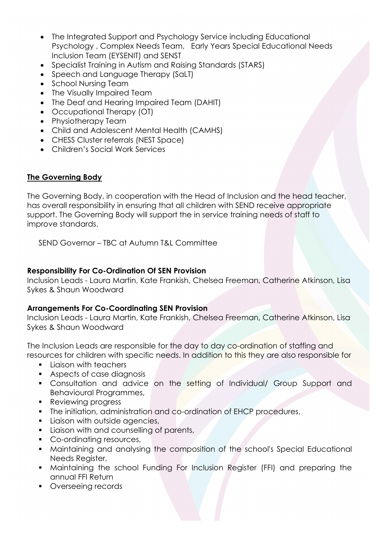- The Integrated Support and Psychology Service including Educational Psychology , Complex Needs Team, Early Years Special Educational Needs Inclusion Team (EYSENIT) and SENST
- Specialist Training in Autism and Raising Standards (STARS)
- Speech and Language Therapy (SaLT)
- School Nursing Team
- The Visually Impaired Team
- The Deaf and Hearing Impaired Team (DAHIT)
- Occupational Therapy (OT)
- Physiotherapy Team
- Child and Adolescent Mental Health (CAMHS)
- CHESS Cluster referrals (NEST Space)
- Children's Social Work Services

# **The Governing Body**

The Governing Body, in cooperation with the Head of Inclusion and the head teacher, has overall responsibility in ensuring that all children with SEND receive appropriate support. The Governing Body will support the in service training needs of staff to improve standards.

SEND Governor – TBC at Autumn T&L Committee

# **Responsibility For Co-Ordination Of SEN Provision**

Inclusion Leads - Laura Martin, Kate Frankish, Chelsea Freeman, Catherine Atkinson, Lisa Sykes & Shaun Woodward

## **Arrangements For Co-Coordinating SEN Provision**

Inclusion Leads - Laura Martin, Kate Frankish, Chelsea Freeman, Catherine Atkinson, Lisa Sykes & Shaun Woodward

The Inclusion Leads are responsible for the day to day co-ordination of staffing and resources for children with specific needs. In addition to this they are also responsible for

- **Liaison with teachers**
- **Aspects of case diagnosis**
- **Consultation and advice on the setting of Individual/ Group Support and** Behavioural Programmes,
- **Reviewing progress**
- The initiation, administration and co-ordination of EHCP procedures,
- **Liaison with outside agencies,**
- **Liaison with and counselling of parents,**
- Co-ordinating resources,
- Maintaining and analysing the composition of the school's Special Educational Needs Register,
- Maintaining the school Funding For Inclusion Register (FFI) and preparing the annual FFI Return
- **•** Overseeing records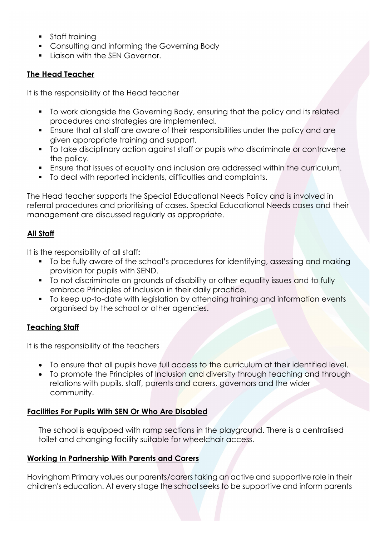- **Staff training**
- **Consulting and informing the Governing Body**
- **Ligison with the SEN Governor.**

# **The Head Teacher**

It is the responsibility of the Head teacher

- To work alongside the Governing Body, ensuring that the policy and its related procedures and strategies are implemented.
- Ensure that all staff are aware of their responsibilities under the policy and are given appropriate training and support.
- To take disciplinary action against staff or pupils who discriminate or contravene the policy.
- Ensure that issues of equality and inclusion are addressed within the curriculum.
- To deal with reported incidents, difficulties and complaints.

The Head teacher supports the Special Educational Needs Policy and is involved in referral procedures and prioritising of cases. Special Educational Needs cases and their management are discussed regularly as appropriate.

# **All Staff**

It is the responsibility of all staff**:** 

- To be fully aware of the school's procedures for identifying, assessing and making provision for pupils with SEND.
- To not discriminate on grounds of disability or other equality issues and to fully embrace Principles of Inclusion in their daily practice.
- To keep up-to-date with legislation by attending training and information events organised by the school or other agencies.

## **Teaching Staff**

It is the responsibility of the teachers

- To ensure that all pupils have full access to the curriculum at their identified level.
- To promote the Principles of Inclusion and diversity through teaching and through relations with pupils, staff, parents and carers, governors and the wider community.

## **Facilities For Pupils With SEN Or Who Are Disabled**

The school is equipped with ramp sections in the playground. There is a centralised toilet and changing facility suitable for wheelchair access.

## **Working In Partnership With Parents and Carers**

Hovingham Primary values our parents/carers taking an active and supportive role in their children's education. At every stage the school seeks to be supportive and inform parents